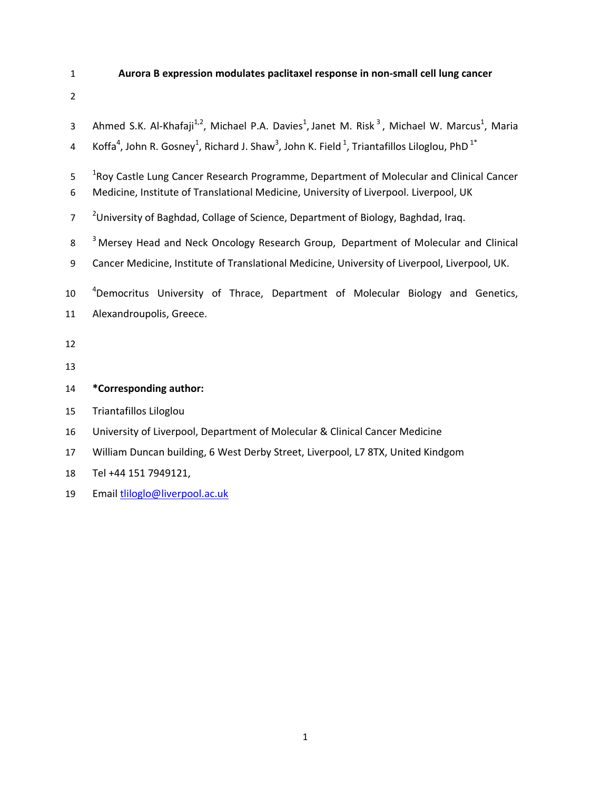# 1 **Aurora B expression modulates paclitaxel response in non-small cell lung cancer**

| 3              | Ahmed S.K. Al-Khafaji <sup>1,2</sup> , Michael P.A. Davies <sup>1</sup> , Janet M. Risk <sup>3</sup> , Michael W. Marcus <sup>1</sup> , Maria            |
|----------------|----------------------------------------------------------------------------------------------------------------------------------------------------------|
| 4              | Koffa <sup>4</sup> , John R. Gosney <sup>1</sup> , Richard J. Shaw <sup>3</sup> , John K. Field <sup>1</sup> , Triantafillos Liloglou, PhD <sup>1*</sup> |
| 5              | <sup>1</sup> Roy Castle Lung Cancer Research Programme, Department of Molecular and Clinical Cancer                                                      |
| 6              | Medicine, Institute of Translational Medicine, University of Liverpool. Liverpool, UK                                                                    |
| $\overline{7}$ | <sup>2</sup> University of Baghdad, Collage of Science, Department of Biology, Baghdad, Iraq.                                                            |
| 8              | <sup>3</sup> Mersey Head and Neck Oncology Research Group, Department of Molecular and Clinical                                                          |
| 9              | Cancer Medicine, Institute of Translational Medicine, University of Liverpool, Liverpool, UK.                                                            |
| 10             | <sup>4</sup> Democritus University of Thrace, Department of Molecular Biology and Genetics,                                                              |
| 11             | Alexandroupolis, Greece.                                                                                                                                 |
| 12             |                                                                                                                                                          |
| 13             |                                                                                                                                                          |
| 14             | *Corresponding author:                                                                                                                                   |
| 15             | Triantafillos Liloglou                                                                                                                                   |
| 16             | University of Liverpool, Department of Molecular & Clinical Cancer Medicine                                                                              |
| 17             | William Duncan building, 6 West Derby Street, Liverpool, L7 8TX, United Kindgom                                                                          |

- 18 Tel +44 151 7949121,
- 19 Email tliloglo@liverpool.ac.uk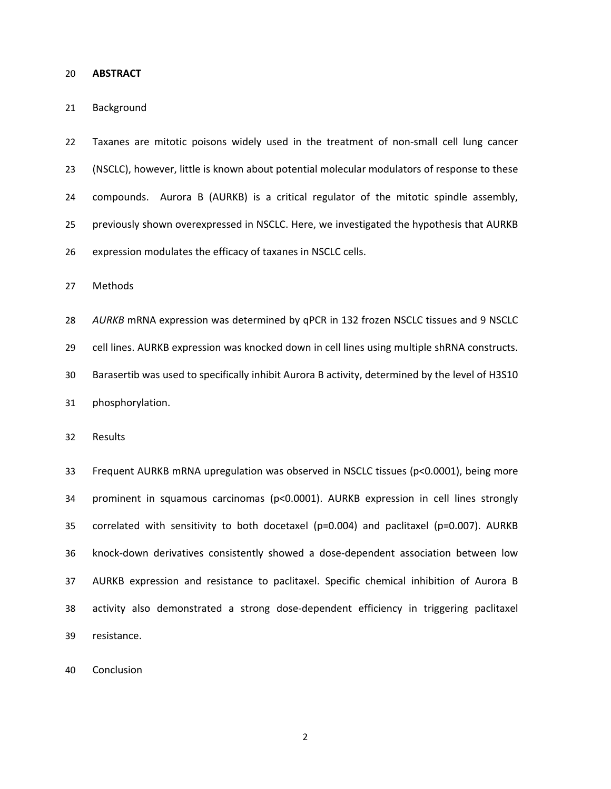### 20 **ABSTRACT**

### 21 Background

22 Taxanes are mitotic poisons widely used in the treatment of non-small cell lung cancer 23 (NSCLC), however, little is known about potential molecular modulators of response to these 24 compounds. Aurora B (AURKB) is a critical regulator of the mitotic spindle assembly, 25 previously shown overexpressed in NSCLC. Here, we investigated the hypothesis that AURKB 26 expression modulates the efficacy of taxanes in NSCLC cells.

27 Methods

28 *AURKB* mRNA expression was determined by qPCR in 132 frozen NSCLC tissues and 9 NSCLC

29 cell lines. AURKB expression was knocked down in cell lines using multiple shRNA constructs.

30 Barasertib was used to specifically inhibit Aurora B activity, determined by the level of H3S10

31 phosphorylation.

32 Results

33 Frequent AURKB mRNA upregulation was observed in NSCLC tissues (p<0.0001), being more 34 prominent in squamous carcinomas (p<0.0001). AURKB expression in cell lines strongly 35 correlated with sensitivity to both docetaxel (p=0.004) and paclitaxel (p=0.007). AURKB 36 knock-down derivatives consistently showed a dose-dependent association between low 37 AURKB expression and resistance to paclitaxel. Specific chemical inhibition of Aurora B 38 activity also demonstrated a strong dose-dependent efficiency in triggering paclitaxel 39 resistance.

40 Conclusion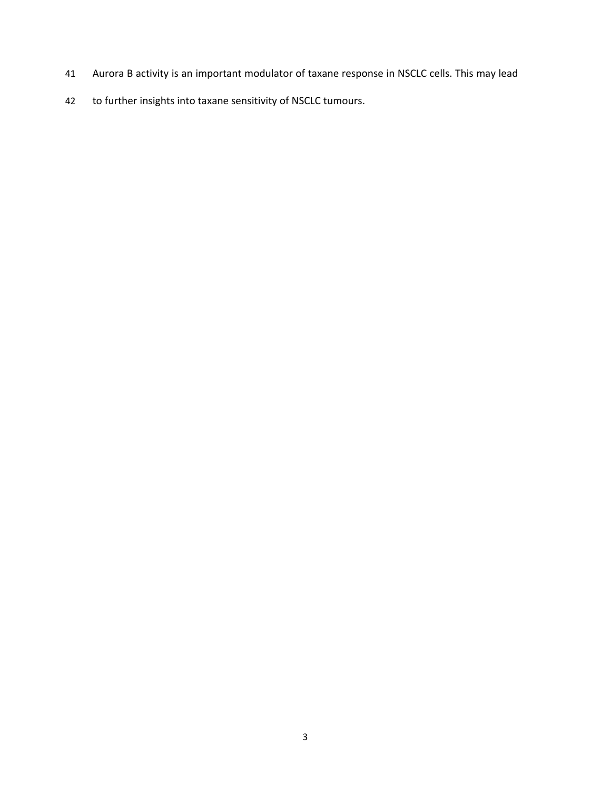- 41 Aurora B activity is an important modulator of taxane response in NSCLC cells. This may lead
- 42 to further insights into taxane sensitivity of NSCLC tumours.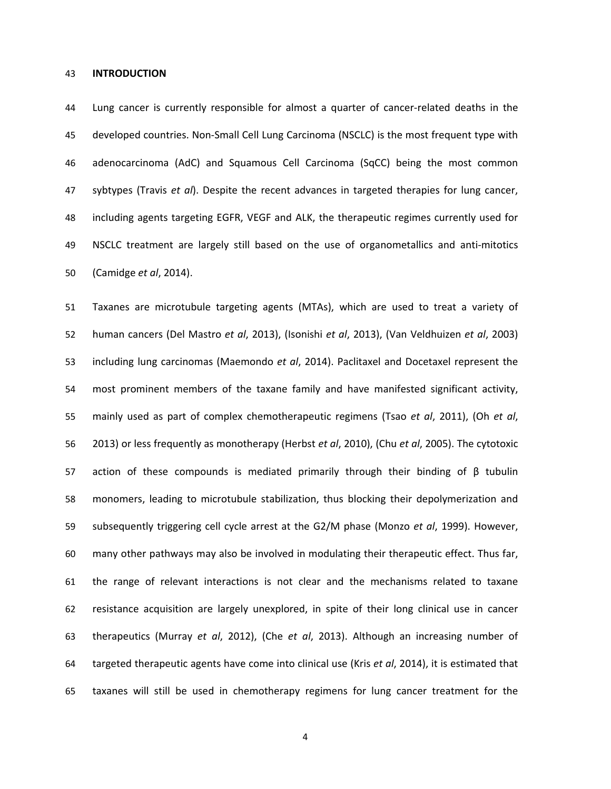### 43 **INTRODUCTION**

44 Lung cancer is currently responsible for almost a quarter of cancer-related deaths in the 45 developed countries. Non-Small Cell Lung Carcinoma (NSCLC) is the most frequent type with 46 adenocarcinoma (AdC) and Squamous Cell Carcinoma (SqCC) being the most common 47 sybtypes (Travis *et al*). Despite the recent advances in targeted therapies for lung cancer, 48 including agents targeting EGFR, VEGF and ALK, the therapeutic regimes currently used for 49 NSCLC treatment are largely still based on the use of organometallics and anti-mitotics 50 (Camidge *et al*, 2014).

51 Taxanes are microtubule targeting agents (MTAs), which are used to treat a variety of 52 human cancers (Del Mastro *et al*, 2013), (Isonishi *et al*, 2013), (Van Veldhuizen *et al*, 2003) 53 including lung carcinomas (Maemondo *et al*, 2014). Paclitaxel and Docetaxel represent the 54 most prominent members of the taxane family and have manifested significant activity, 55 mainly used as part of complex chemotherapeutic regimens (Tsao *et al*, 2011), (Oh *et al*, 56 2013) or less frequently as monotherapy (Herbst *et al*, 2010), (Chu *et al*, 2005). The cytotoxic 57 action of these compounds is mediated primarily through their binding of β tubulin 58 monomers, leading to microtubule stabilization, thus blocking their depolymerization and 59 subsequently triggering cell cycle arrest at the G2/M phase (Monzo *et al*, 1999). However, 60 many other pathways may also be involved in modulating their therapeutic effect. Thus far, 61 the range of relevant interactions is not clear and the mechanisms related to taxane 62 resistance acquisition are largely unexplored, in spite of their long clinical use in cancer 63 therapeutics (Murray *et al*, 2012), (Che *et al*, 2013). Although an increasing number of 64 targeted therapeutic agents have come into clinical use (Kris *et al*, 2014), it is estimated that 65 taxanes will still be used in chemotherapy regimens for lung cancer treatment for the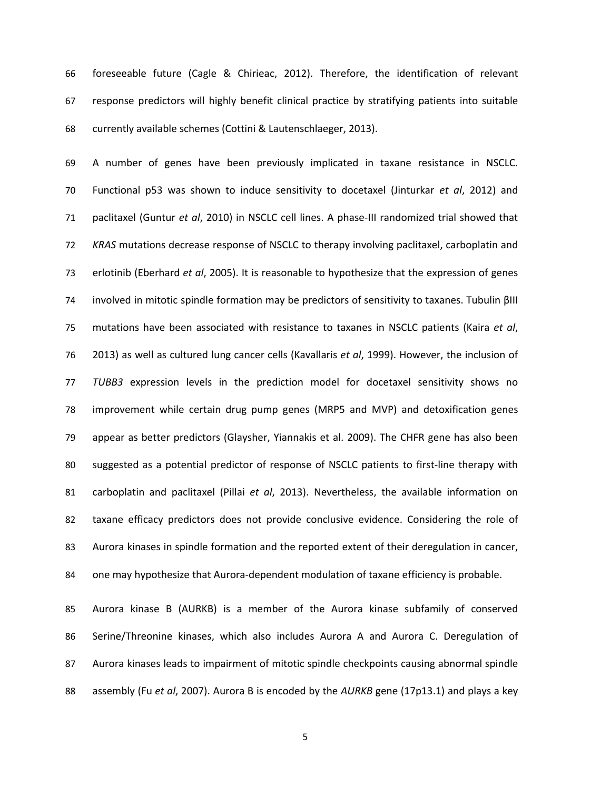66 foreseeable future (Cagle & Chirieac, 2012). Therefore, the identification of relevant 67 response predictors will highly benefit clinical practice by stratifying patients into suitable 68 currently available schemes (Cottini & Lautenschlaeger, 2013).

69 A number of genes have been previously implicated in taxane resistance in NSCLC. 70 Functional p53 was shown to induce sensitivity to docetaxel (Jinturkar *et al*, 2012) and 71 paclitaxel (Guntur *et al*, 2010) in NSCLC cell lines. A phase-III randomized trial showed that 72 *KRAS* mutations decrease response of NSCLC to therapy involving paclitaxel, carboplatin and 73 erlotinib (Eberhard *et al*, 2005). It is reasonable to hypothesize that the expression of genes 74 involved in mitotic spindle formation may be predictors of sensitivity to taxanes. Tubulin βIII 75 mutations have been associated with resistance to taxanes in NSCLC patients (Kaira *et al*, 76 2013) as well as cultured lung cancer cells (Kavallaris *et al*, 1999). However, the inclusion of 77 *TUBB3* expression levels in the prediction model for docetaxel sensitivity shows no 78 improvement while certain drug pump genes (MRP5 and MVP) and detoxification genes 79 appear as better predictors (Glaysher, Yiannakis et al. 2009). The CHFR gene has also been 80 suggested as a potential predictor of response of NSCLC patients to first-line therapy with 81 carboplatin and paclitaxel (Pillai *et al*, 2013). Nevertheless, the available information on 82 taxane efficacy predictors does not provide conclusive evidence. Considering the role of 83 Aurora kinases in spindle formation and the reported extent of their deregulation in cancer, 84 one may hypothesize that Aurora-dependent modulation of taxane efficiency is probable.

85 Aurora kinase B (AURKB) is a member of the Aurora kinase subfamily of conserved 86 Serine/Threonine kinases, which also includes Aurora A and Aurora C. Deregulation of 87 Aurora kinases leads to impairment of mitotic spindle checkpoints causing abnormal spindle 88 assembly (Fu *et al*, 2007). Aurora B is encoded by the *AURKB* gene (17p13.1) and plays a key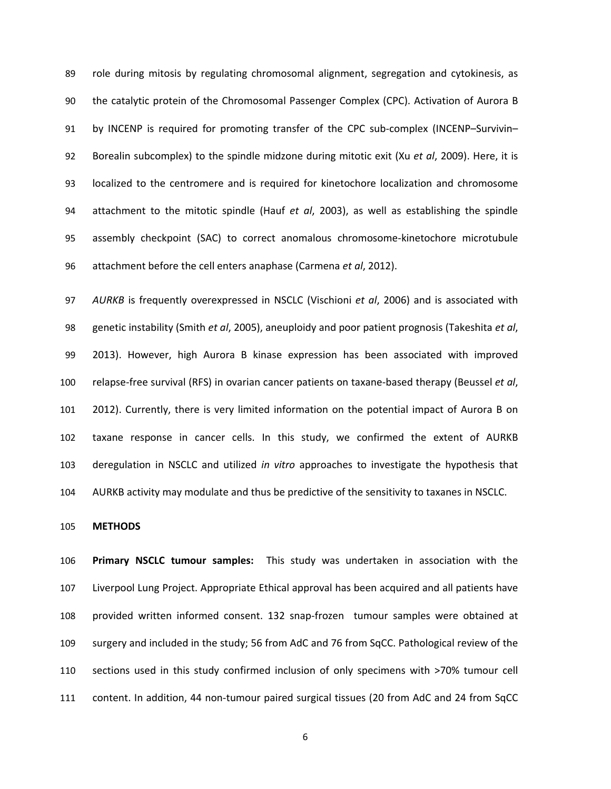89 role during mitosis by regulating chromosomal alignment, segregation and cytokinesis, as 90 the catalytic protein of the Chromosomal Passenger Complex (CPC). Activation of Aurora B 91 by INCENP is required for promoting transfer of the CPC sub-complex (INCENP–Survivin– 92 Borealin subcomplex) to the spindle midzone during mitotic exit (Xu *et al*, 2009). Here, it is 93 localized to the centromere and is required for kinetochore localization and chromosome 94 attachment to the mitotic spindle (Hauf *et al*, 2003), as well as establishing the spindle 95 assembly checkpoint (SAC) to correct anomalous chromosome-kinetochore microtubule 96 attachment before the cell enters anaphase (Carmena *et al*, 2012).

97 *AURKB* is frequently overexpressed in NSCLC (Vischioni *et al*, 2006) and is associated with 98 genetic instability (Smith *et al*, 2005), aneuploidy and poor patient prognosis (Takeshita *et al*, 99 2013). However, high Aurora B kinase expression has been associated with improved 100 relapse-free survival (RFS) in ovarian cancer patients on taxane-based therapy (Beussel *et al*, 101 2012). Currently, there is very limited information on the potential impact of Aurora B on 102 taxane response in cancer cells. In this study, we confirmed the extent of AURKB 103 deregulation in NSCLC and utilized *in vitro* approaches to investigate the hypothesis that 104 AURKB activity may modulate and thus be predictive of the sensitivity to taxanes in NSCLC.

105 **METHODS**

106 **Primary NSCLC tumour samples:** This study was undertaken in association with the 107 Liverpool Lung Project. Appropriate Ethical approval has been acquired and all patients have 108 provided written informed consent. 132 snap-frozen tumour samples were obtained at 109 surgery and included in the study; 56 from AdC and 76 from SqCC. Pathological review of the 110 sections used in this study confirmed inclusion of only specimens with >70% tumour cell 111 content. In addition, 44 non-tumour paired surgical tissues (20 from AdC and 24 from SqCC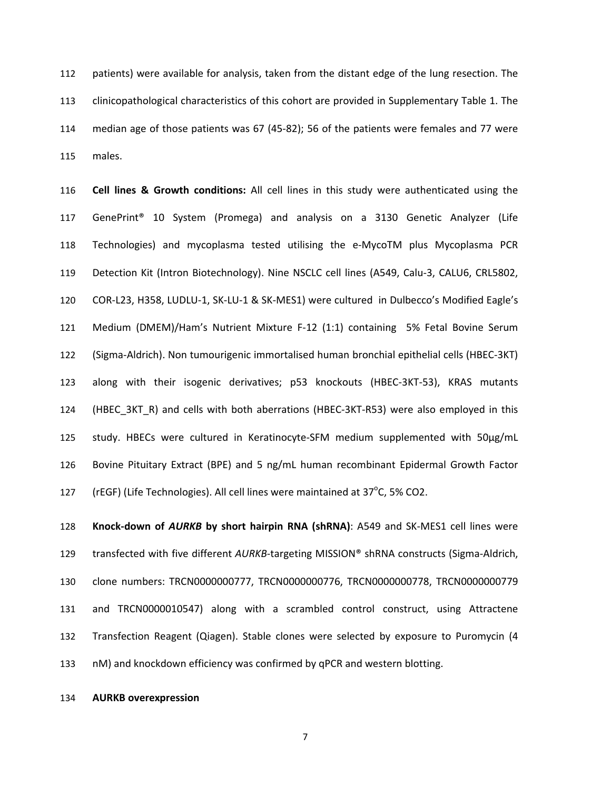112 patients) were available for analysis, taken from the distant edge of the lung resection. The 113 clinicopathological characteristics of this cohort are provided in Supplementary Table 1. The 114 median age of those patients was 67 (45-82); 56 of the patients were females and 77 were 115 males.

116 **Cell lines & Growth conditions:** All cell lines in this study were authenticated using the 117 GenePrint® 10 System (Promega) and analysis on a 3130 Genetic Analyzer (Life 118 Technologies) and mycoplasma tested utilising the e-MycoTM plus Mycoplasma PCR 119 Detection Kit (Intron Biotechnology). Nine NSCLC cell lines (A549, Calu-3, CALU6, CRL5802, 120 COR-L23, H358, LUDLU-1, SK-LU-1 & SK-MES1) were cultured in Dulbecco's Modified Eagle's 121 Medium (DMEM)/Ham's Nutrient Mixture F-12 (1:1) containing 5% Fetal Bovine Serum 122 (Sigma-Aldrich). Non tumourigenic immortalised human bronchial epithelial cells (HBEC-3KT) 123 along with their isogenic derivatives; p53 knockouts (HBEC-3KT-53), KRAS mutants 124 (HBEC\_3KT\_R) and cells with both aberrations (HBEC-3KT-R53) were also employed in this 125 study. HBECs were cultured in Keratinocyte-SFM medium supplemented with 50μg/mL 126 Bovine Pituitary Extract (BPE) and 5 ng/mL human recombinant Epidermal Growth Factor 127 (rEGF) (Life Technologies). All cell lines were maintained at  $37^{\circ}$ C, 5% CO2.

128 **Knock-down of** *AURKB* **by short hairpin RNA (shRNA)**: A549 and SK-MES1 cell lines were 129 transfected with five different *AURKB*-targeting MISSION® shRNA constructs (Sigma-Aldrich, 130 clone numbers: TRCN0000000777, TRCN0000000776, TRCN0000000778, TRCN0000000779 131 and TRCN0000010547) along with a scrambled control construct, using Attractene 132 Transfection Reagent (Qiagen). Stable clones were selected by exposure to Puromycin (4 133 nM) and knockdown efficiency was confirmed by qPCR and western blotting.

### 134 **AURKB overexpression**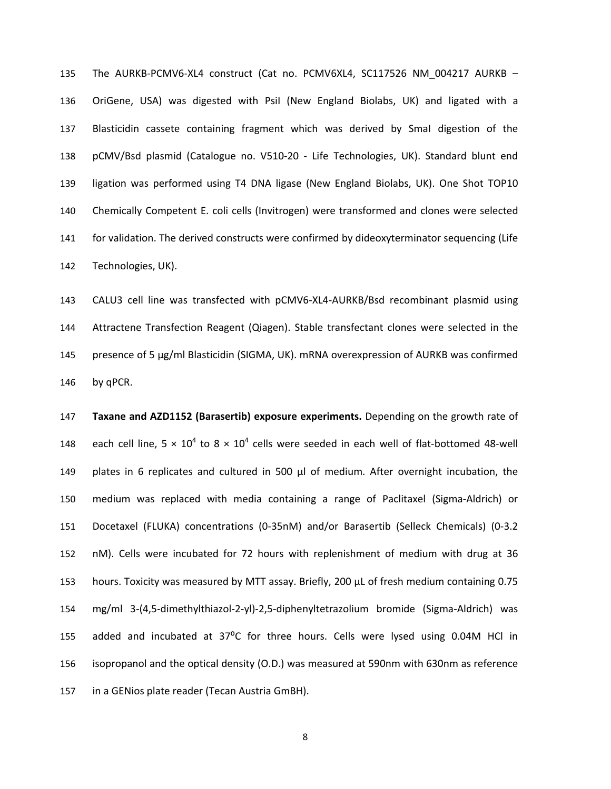135 The AURKB-PCMV6-XL4 construct (Cat no. PCMV6XL4, SC117526 NM\_004217 AURKB – 136 OriGene, USA) was digested with PsiI (New England Biolabs, UK) and ligated with a 137 Blasticidin cassete containing fragment which was derived by SmaI digestion of the 138 pCMV/Bsd plasmid (Catalogue no. V510-20 - Life Technologies, UK). Standard blunt end 139 ligation was performed using T4 DNA ligase (New England Biolabs, UK). One Shot TOP10 140 Chemically Competent E. coli cells (Invitrogen) were transformed and clones were selected 141 for validation. The derived constructs were confirmed by dideoxyterminator sequencing (Life 142 Technologies, UK).

143 CALU3 cell line was transfected with pCMV6-XL4-AURKB/Bsd recombinant plasmid using 144 Attractene Transfection Reagent (Qiagen). Stable transfectant clones were selected in the 145 presence of 5 µg/ml Blasticidin (SIGMA, UK). mRNA overexpression of AURKB was confirmed 146 by qPCR.

147 **Taxane and AZD1152 (Barasertib) exposure experiments.** Depending on the growth rate of 148 each cell line,  $5 \times 10^4$  to  $8 \times 10^4$  cells were seeded in each well of flat-bottomed 48-well 149 plates in 6 replicates and cultured in 500 μl of medium. After overnight incubation, the 150 medium was replaced with media containing a range of Paclitaxel (Sigma-Aldrich) or 151 Docetaxel (FLUKA) concentrations (0-35nM) and/or Barasertib (Selleck Chemicals) (0-3.2 152 nM). Cells were incubated for 72 hours with replenishment of medium with drug at 36 153 hours. Toxicity was measured by MTT assay. Briefly, 200 µL of fresh medium containing 0.75 154 mg/ml 3-(4,5-dimethylthiazol-2-yl)-2,5-diphenyltetrazolium bromide (Sigma-Aldrich) was 155 added and incubated at 37°C for three hours. Cells were lysed using 0.04M HCl in 156 isopropanol and the optical density (O.D.) was measured at 590nm with 630nm as reference 157 in a GENios plate reader (Tecan Austria GmBH).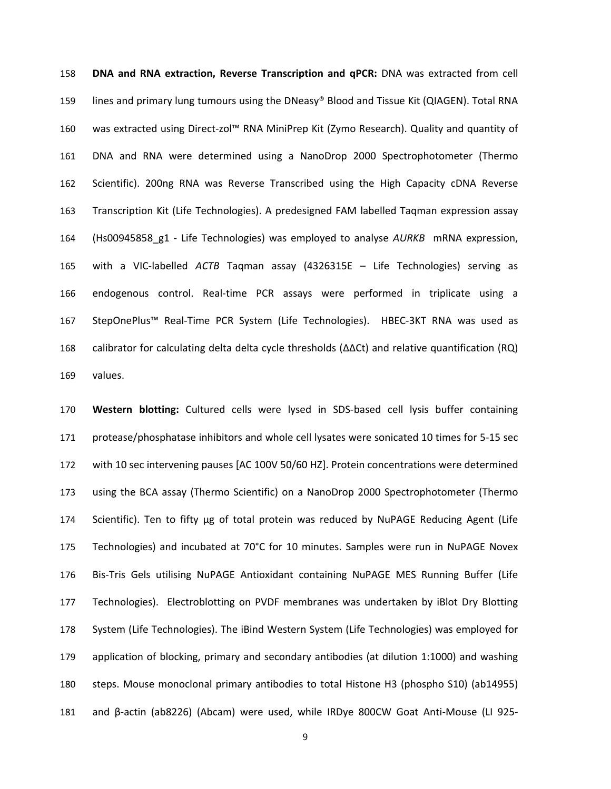158 **DNA and RNA extraction, Reverse Transcription and qPCR:** DNA was extracted from cell 159 lines and primary lung tumours using the DNeasy® Blood and Tissue Kit (QIAGEN). Total RNA 160 was extracted using Direct-zol™ RNA MiniPrep Kit (Zymo Research). Quality and quantity of 161 DNA and RNA were determined using a NanoDrop 2000 Spectrophotometer (Thermo 162 Scientific). 200ng RNA was Reverse Transcribed using the High Capacity cDNA Reverse 163 Transcription Kit (Life Technologies). A predesigned FAM labelled Taqman expression assay 164 (Hs00945858\_g1 - Life Technologies) was employed to analyse *AURKB* mRNA expression, 165 with a VIC-labelled *ACTB* Taqman assay (4326315E – Life Technologies) serving as 166 endogenous control. Real-time PCR assays were performed in triplicate using a 167 StepOnePlus™ Real-Time PCR System (Life Technologies). HBEC-3KT RNA was used as 168 calibrator for calculating delta delta cycle thresholds (ΔΔCt) and relative quantification (RQ) 169 values.

170 **Western blotting:** Cultured cells were lysed in SDS-based cell lysis buffer containing 171 protease/phosphatase inhibitors and whole cell lysates were sonicated 10 times for 5-15 sec 172 with 10 sec intervening pauses [AC 100V 50/60 HZ]. Protein concentrations were determined 173 using the BCA assay (Thermo Scientific) on a NanoDrop 2000 Spectrophotometer (Thermo 174 Scientific). Ten to fifty μg of total protein was reduced by NuPAGE Reducing Agent (Life 175 Technologies) and incubated at 70°C for 10 minutes. Samples were run in NuPAGE Novex 176 Bis-Tris Gels utilising NuPAGE Antioxidant containing NuPAGE MES Running Buffer (Life 177 Technologies). Electroblotting on PVDF membranes was undertaken by iBlot Dry Blotting 178 System (Life Technologies). The iBind Western System (Life Technologies) was employed for 179 application of blocking, primary and secondary antibodies (at dilution 1:1000) and washing 180 steps. Mouse monoclonal primary antibodies to total Histone H3 (phospho S10) (ab14955) 181 and β-actin (ab8226) (Abcam) were used, while IRDye 800CW Goat Anti-Mouse (LI 925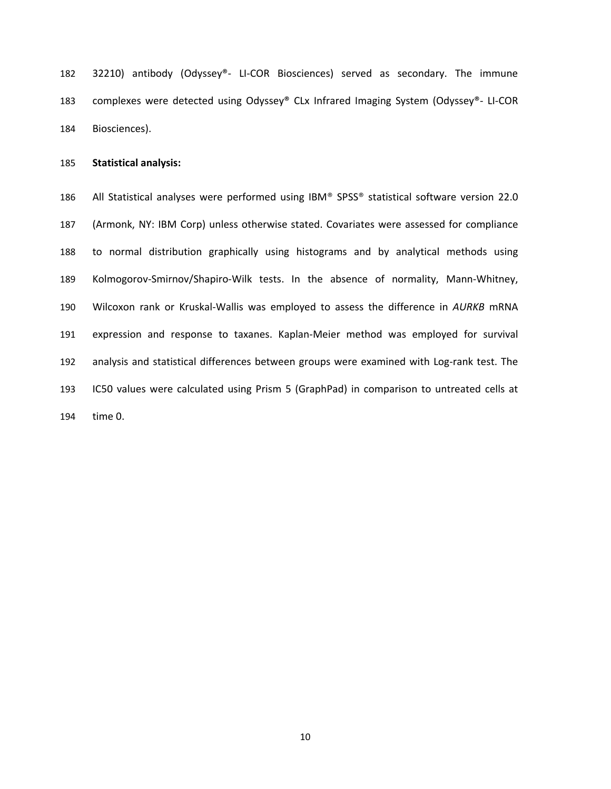182 32210) antibody (Odyssey®- LI-COR Biosciences) served as secondary. The immune 183 complexes were detected using Odyssey® CLx Infrared Imaging System (Odyssey®- LI-COR 184 Biosciences).

185 **Statistical analysis:** 

186 All Statistical analyses were performed using IBM® SPSS® statistical software version 22.0 187 (Armonk, NY: IBM Corp) unless otherwise stated. Covariates were assessed for compliance 188 to normal distribution graphically using histograms and by analytical methods using 189 Kolmogorov-Smirnov/Shapiro-Wilk tests. In the absence of normality, Mann-Whitney, 190 Wilcoxon rank or Kruskal-Wallis was employed to assess the difference in *AURKB* mRNA 191 expression and response to taxanes. Kaplan-Meier method was employed for survival 192 analysis and statistical differences between groups were examined with Log-rank test. The 193 IC50 values were calculated using Prism 5 (GraphPad) in comparison to untreated cells at 194 time 0.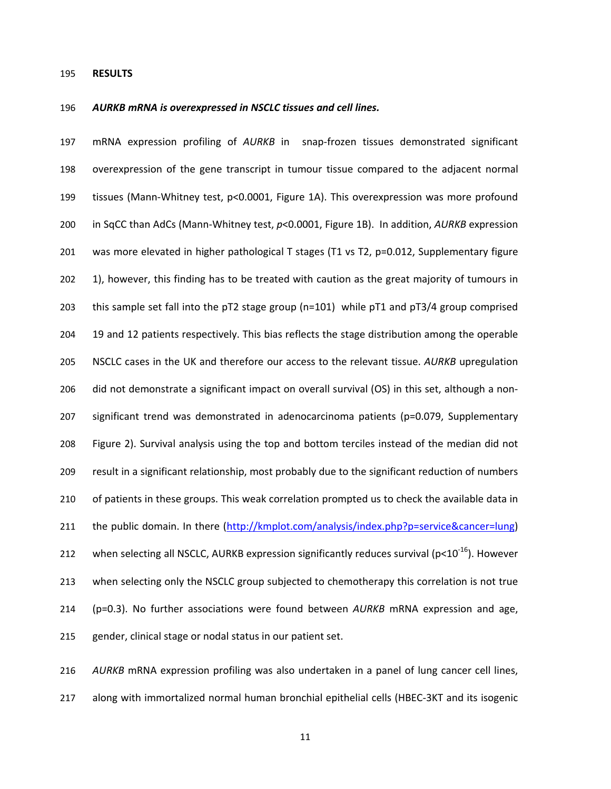#### 195 **RESULTS**

#### 196 *AURKB mRNA is overexpressed in NSCLC tissues and cell lines.*

197 mRNA expression profiling of *AURKB* in snap-frozen tissues demonstrated significant 198 overexpression of the gene transcript in tumour tissue compared to the adjacent normal 199 tissues (Mann-Whitney test, p<0.0001, Figure 1A). This overexpression was more profound 200 in SqCC than AdCs (Mann-Whitney test, *p*<0.0001, Figure 1B). In addition, *AURKB* expression 201 was more elevated in higher pathological T stages (T1 vs T2, p=0.012, Supplementary figure 202 1), however, this finding has to be treated with caution as the great majority of tumours in 203 this sample set fall into the pT2 stage group (n=101) while pT1 and pT3/4 group comprised 204 19 and 12 patients respectively. This bias reflects the stage distribution among the operable 205 NSCLC cases in the UK and therefore our access to the relevant tissue. *AURKB* upregulation 206 did not demonstrate a significant impact on overall survival (OS) in this set, although a non-207 significant trend was demonstrated in adenocarcinoma patients (p=0.079, Supplementary 208 Figure 2). Survival analysis using the top and bottom terciles instead of the median did not 209 result in a significant relationship, most probably due to the significant reduction of numbers 210 of patients in these groups. This weak correlation prompted us to check the available data in 211 the public domain. In there (http://kmplot.com/analysis/index.php?p=service&cancer=lung) 212 when selecting all NSCLC, AURKB expression significantly reduces survival ( $p<10^{-16}$ ). However 213 when selecting only the NSCLC group subjected to chemotherapy this correlation is not true 214 (p=0.3). No further associations were found between *AURKB* mRNA expression and age, 215 gender, clinical stage or nodal status in our patient set.

216 *AURKB* mRNA expression profiling was also undertaken in a panel of lung cancer cell lines,

217 along with immortalized normal human bronchial epithelial cells (HBEC-3KT and its isogenic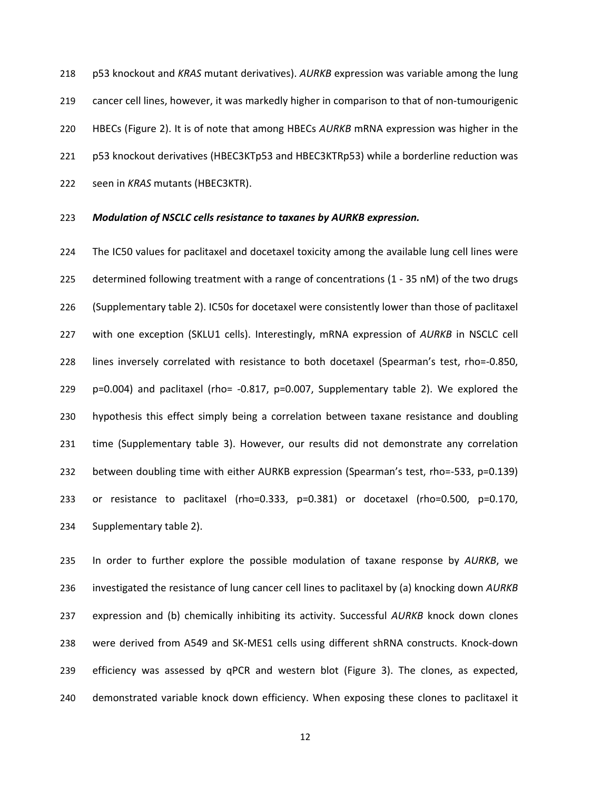218 p53 knockout and *KRAS* mutant derivatives). *AURKB* expression was variable among the lung 219 cancer cell lines, however, it was markedly higher in comparison to that of non-tumourigenic 220 HBECs (Figure 2). It is of note that among HBECs *AURKB* mRNA expression was higher in the 221 p53 knockout derivatives (HBEC3KTp53 and HBEC3KTRp53) while a borderline reduction was 222 seen in *KRAS* mutants (HBEC3KTR).

### 223 *Modulation of NSCLC cells resistance to taxanes by AURKB expression.*

224 The IC50 values for paclitaxel and docetaxel toxicity among the available lung cell lines were 225 determined following treatment with a range of concentrations (1 - 35 nM) of the two drugs 226 (Supplementary table 2). IC50s for docetaxel were consistently lower than those of paclitaxel 227 with one exception (SKLU1 cells). Interestingly, mRNA expression of *AURKB* in NSCLC cell 228 lines inversely correlated with resistance to both docetaxel (Spearman's test, rho=-0.850, 229 p=0.004) and paclitaxel (rho= -0.817, p=0.007, Supplementary table 2). We explored the 230 hypothesis this effect simply being a correlation between taxane resistance and doubling 231 time (Supplementary table 3). However, our results did not demonstrate any correlation 232 between doubling time with either AURKB expression (Spearman's test, rho=-533, p=0.139) 233 or resistance to paclitaxel (rho=0.333, p=0.381) or docetaxel (rho=0.500, p=0.170, 234 Supplementary table 2).

235 In order to further explore the possible modulation of taxane response by *AURKB*, we 236 investigated the resistance of lung cancer cell lines to paclitaxel by (a) knocking down *AURKB* 237 expression and (b) chemically inhibiting its activity. Successful *AURKB* knock down clones 238 were derived from A549 and SK-MES1 cells using different shRNA constructs. Knock-down 239 efficiency was assessed by qPCR and western blot (Figure 3). The clones, as expected, 240 demonstrated variable knock down efficiency. When exposing these clones to paclitaxel it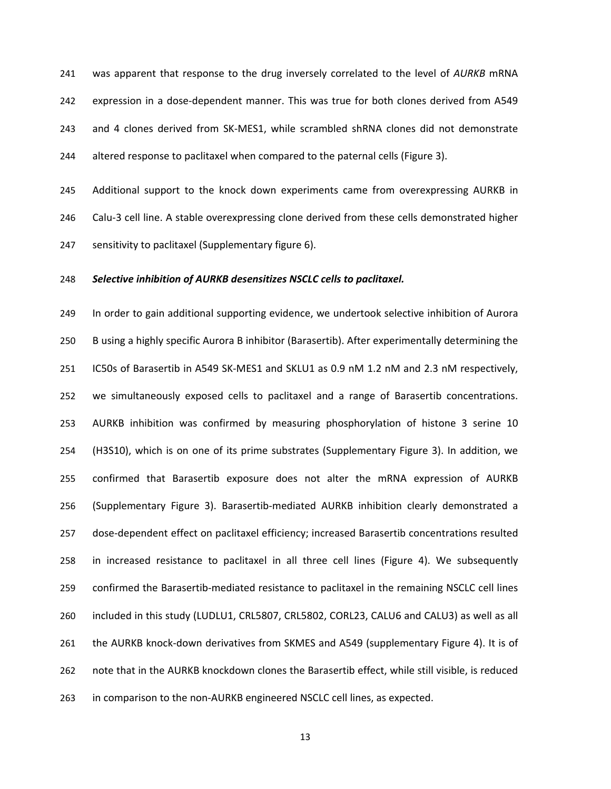241 was apparent that response to the drug inversely correlated to the level of *AURKB* mRNA 242 expression in a dose-dependent manner. This was true for both clones derived from A549 243 and 4 clones derived from SK-MES1, while scrambled shRNA clones did not demonstrate 244 altered response to paclitaxel when compared to the paternal cells (Figure 3).

245 Additional support to the knock down experiments came from overexpressing AURKB in 246 Calu-3 cell line. A stable overexpressing clone derived from these cells demonstrated higher 247 sensitivity to paclitaxel (Supplementary figure 6).

## 248 *Selective inhibition of AURKB desensitizes NSCLC cells to paclitaxel.*

249 In order to gain additional supporting evidence, we undertook selective inhibition of Aurora 250 B using a highly specific Aurora B inhibitor (Barasertib). After experimentally determining the 251 IC50s of Barasertib in A549 SK-MES1 and SKLU1 as 0.9 nM 1.2 nM and 2.3 nM respectively, 252 we simultaneously exposed cells to paclitaxel and a range of Barasertib concentrations. 253 AURKB inhibition was confirmed by measuring phosphorylation of histone 3 serine 10 254 (H3S10), which is on one of its prime substrates (Supplementary Figure 3). In addition, we 255 confirmed that Barasertib exposure does not alter the mRNA expression of AURKB 256 (Supplementary Figure 3). Barasertib-mediated AURKB inhibition clearly demonstrated a 257 dose-dependent effect on paclitaxel efficiency; increased Barasertib concentrations resulted 258 in increased resistance to paclitaxel in all three cell lines (Figure 4). We subsequently 259 confirmed the Barasertib-mediated resistance to paclitaxel in the remaining NSCLC cell lines 260 included in this study (LUDLU1, CRL5807, CRL5802, CORL23, CALU6 and CALU3) as well as all 261 the AURKB knock-down derivatives from SKMES and A549 (supplementary Figure 4). It is of 262 note that in the AURKB knockdown clones the Barasertib effect, while still visible, is reduced 263 in comparison to the non-AURKB engineered NSCLC cell lines, as expected.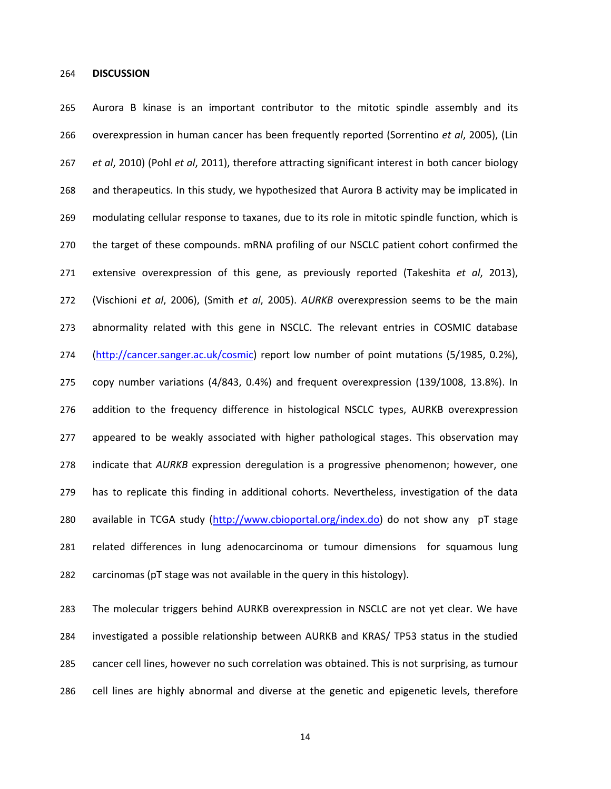### 264 **DISCUSSION**

265 Aurora B kinase is an important contributor to the mitotic spindle assembly and its 266 overexpression in human cancer has been frequently reported (Sorrentino *et al*, 2005), (Lin 267 *et al*, 2010) (Pohl *et al*, 2011), therefore attracting significant interest in both cancer biology 268 and therapeutics. In this study, we hypothesized that Aurora B activity may be implicated in 269 modulating cellular response to taxanes, due to its role in mitotic spindle function, which is 270 the target of these compounds. mRNA profiling of our NSCLC patient cohort confirmed the 271 extensive overexpression of this gene, as previously reported (Takeshita *et al*, 2013), 272 (Vischioni *et al*, 2006), (Smith *et al*, 2005). *AURKB* overexpression seems to be the main 273 abnormality related with this gene in NSCLC. The relevant entries in COSMIC database 274 (http://cancer.sanger.ac.uk/cosmic) report low number of point mutations (5/1985, 0.2%), 275 copy number variations (4/843, 0.4%) and frequent overexpression (139/1008, 13.8%). In 276 addition to the frequency difference in histological NSCLC types, AURKB overexpression 277 appeared to be weakly associated with higher pathological stages. This observation may 278 indicate that *AURKB* expression deregulation is a progressive phenomenon; however, one 279 has to replicate this finding in additional cohorts. Nevertheless, investigation of the data 280 available in TCGA study (http://www.cbioportal.org/index.do) do not show any pT stage 281 related differences in lung adenocarcinoma or tumour dimensions for squamous lung 282 carcinomas (pT stage was not available in the query in this histology).

283 The molecular triggers behind AURKB overexpression in NSCLC are not yet clear. We have 284 investigated a possible relationship between AURKB and KRAS/ TP53 status in the studied 285 cancer cell lines, however no such correlation was obtained. This is not surprising, as tumour 286 cell lines are highly abnormal and diverse at the genetic and epigenetic levels, therefore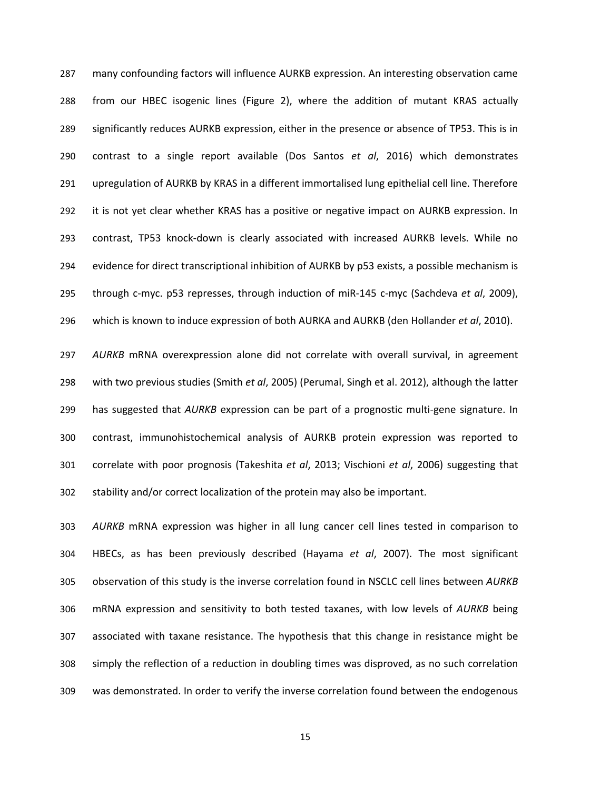287 many confounding factors will influence AURKB expression. An interesting observation came 288 from our HBEC isogenic lines (Figure 2), where the addition of mutant KRAS actually 289 significantly reduces AURKB expression, either in the presence or absence of TP53. This is in 290 contrast to a single report available (Dos Santos *et al*, 2016) which demonstrates 291 upregulation of AURKB by KRAS in a different immortalised lung epithelial cell line. Therefore 292 it is not yet clear whether KRAS has a positive or negative impact on AURKB expression. In 293 contrast, TP53 knock-down is clearly associated with increased AURKB levels. While no 294 evidence for direct transcriptional inhibition of AURKB by p53 exists, a possible mechanism is 295 through c-myc. p53 represses, through induction of miR-145 c-myc (Sachdeva *et al*, 2009), 296 which is known to induce expression of both AURKA and AURKB (den Hollander *et al*, 2010).

297 *AURKB* mRNA overexpression alone did not correlate with overall survival, in agreement 298 with two previous studies (Smith *et al*, 2005) (Perumal, Singh et al. 2012), although the latter 299 has suggested that *AURKB* expression can be part of a prognostic multi-gene signature. In 300 contrast, immunohistochemical analysis of AURKB protein expression was reported to 301 correlate with poor prognosis (Takeshita *et al*, 2013; Vischioni *et al*, 2006) suggesting that 302 stability and/or correct localization of the protein may also be important.

303 *AURKB* mRNA expression was higher in all lung cancer cell lines tested in comparison to 304 HBECs, as has been previously described (Hayama *et al*, 2007). The most significant 305 observation of this study is the inverse correlation found in NSCLC cell lines between *AURKB* 306 mRNA expression and sensitivity to both tested taxanes, with low levels of *AURKB* being 307 associated with taxane resistance. The hypothesis that this change in resistance might be 308 simply the reflection of a reduction in doubling times was disproved, as no such correlation 309 was demonstrated. In order to verify the inverse correlation found between the endogenous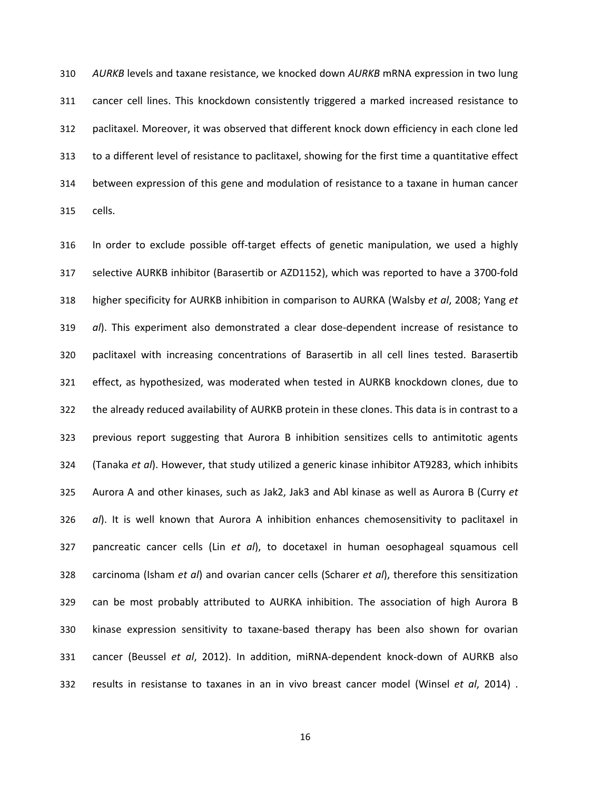310 *AURKB* levels and taxane resistance, we knocked down *AURKB* mRNA expression in two lung 311 cancer cell lines. This knockdown consistently triggered a marked increased resistance to 312 paclitaxel. Moreover, it was observed that different knock down efficiency in each clone led 313 to a different level of resistance to paclitaxel, showing for the first time a quantitative effect 314 between expression of this gene and modulation of resistance to a taxane in human cancer 315 cells.

316 In order to exclude possible off-target effects of genetic manipulation, we used a highly 317 selective AURKB inhibitor (Barasertib or AZD1152), which was reported to have a 3700-fold 318 higher specificity for AURKB inhibition in comparison to AURKA (Walsby *et al*, 2008; Yang *et*  319 *al*). This experiment also demonstrated a clear dose-dependent increase of resistance to 320 paclitaxel with increasing concentrations of Barasertib in all cell lines tested. Barasertib 321 effect, as hypothesized, was moderated when tested in AURKB knockdown clones, due to 322 the already reduced availability of AURKB protein in these clones. This data is in contrast to a 323 previous report suggesting that Aurora B inhibition sensitizes cells to antimitotic agents 324 (Tanaka *et al*). However, that study utilized a generic kinase inhibitor AT9283, which inhibits 325 Aurora A and other kinases, such as Jak2, Jak3 and Abl kinase as well as Aurora B (Curry *et*  326 *al*). It is well known that Aurora A inhibition enhances chemosensitivity to paclitaxel in 327 pancreatic cancer cells (Lin *et al*), to docetaxel in human oesophageal squamous cell 328 carcinoma (Isham *et al*) and ovarian cancer cells (Scharer *et al*), therefore this sensitization 329 can be most probably attributed to AURKA inhibition. The association of high Aurora B 330 kinase expression sensitivity to taxane-based therapy has been also shown for ovarian 331 cancer (Beussel *et al*, 2012). In addition, miRNA-dependent knock-down of AURKB also 332 results in resistanse to taxanes in an in vivo breast cancer model (Winsel *et al*, 2014) .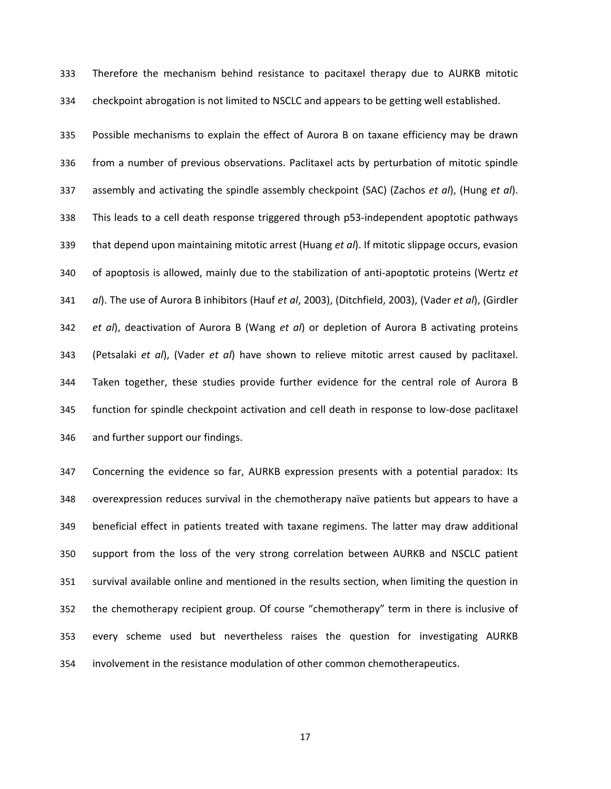333 Therefore the mechanism behind resistance to pacitaxel therapy due to AURKB mitotic 334 checkpoint abrogation is not limited to NSCLC and appears to be getting well established.

335 Possible mechanisms to explain the effect of Aurora B on taxane efficiency may be drawn 336 from a number of previous observations. Paclitaxel acts by perturbation of mitotic spindle 337 assembly and activating the spindle assembly checkpoint (SAC) (Zachos *et al*), (Hung *et al*). 338 This leads to a cell death response triggered through p53-independent apoptotic pathways 339 that depend upon maintaining mitotic arrest (Huang *et al*). If mitotic slippage occurs, evasion 340 of apoptosis is allowed, mainly due to the stabilization of anti-apoptotic proteins (Wertz *et*  341 *al*). The use of Aurora B inhibitors (Hauf *et al*, 2003), (Ditchfield, 2003), (Vader *et al*), (Girdler 342 *et al*), deactivation of Aurora B (Wang *et al*) or depletion of Aurora B activating proteins 343 (Petsalaki *et al*), (Vader *et al*) have shown to relieve mitotic arrest caused by paclitaxel. 344 Taken together, these studies provide further evidence for the central role of Aurora B 345 function for spindle checkpoint activation and cell death in response to low-dose paclitaxel 346 and further support our findings.

347 Concerning the evidence so far, AURKB expression presents with a potential paradox: Its 348 overexpression reduces survival in the chemotherapy naïve patients but appears to have a 349 beneficial effect in patients treated with taxane regimens. The latter may draw additional 350 support from the loss of the very strong correlation between AURKB and NSCLC patient 351 survival available online and mentioned in the results section, when limiting the question in 352 the chemotherapy recipient group. Of course "chemotherapy" term in there is inclusive of 353 every scheme used but nevertheless raises the question for investigating AURKB 354 involvement in the resistance modulation of other common chemotherapeutics.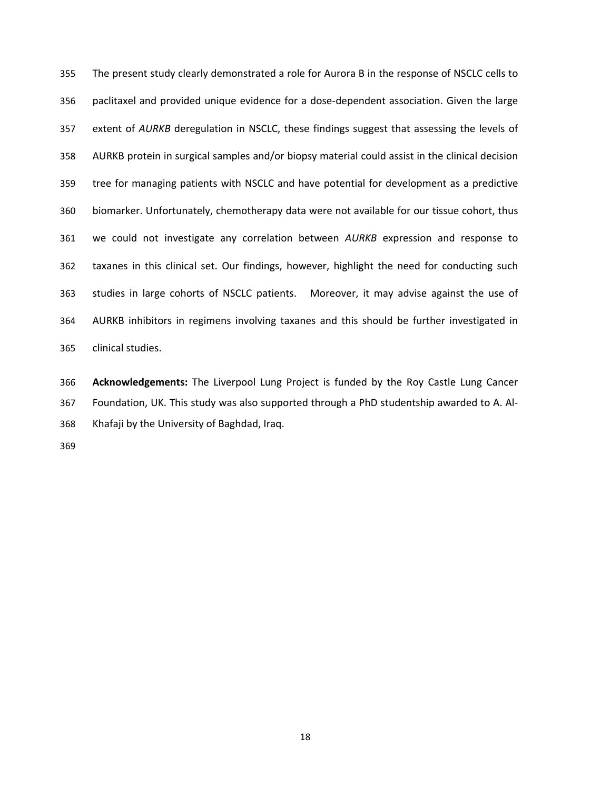355 The present study clearly demonstrated a role for Aurora B in the response of NSCLC cells to 356 paclitaxel and provided unique evidence for a dose-dependent association. Given the large 357 extent of *AURKB* deregulation in NSCLC, these findings suggest that assessing the levels of 358 AURKB protein in surgical samples and/or biopsy material could assist in the clinical decision 359 tree for managing patients with NSCLC and have potential for development as a predictive 360 biomarker. Unfortunately, chemotherapy data were not available for our tissue cohort, thus 361 we could not investigate any correlation between *AURKB* expression and response to 362 taxanes in this clinical set. Our findings, however, highlight the need for conducting such 363 studies in large cohorts of NSCLC patients. Moreover, it may advise against the use of 364 AURKB inhibitors in regimens involving taxanes and this should be further investigated in 365 clinical studies.

366 **Acknowledgements:** The Liverpool Lung Project is funded by the Roy Castle Lung Cancer 367 Foundation, UK. This study was also supported through a PhD studentship awarded to A. Al-368 Khafaji by the University of Baghdad, Iraq.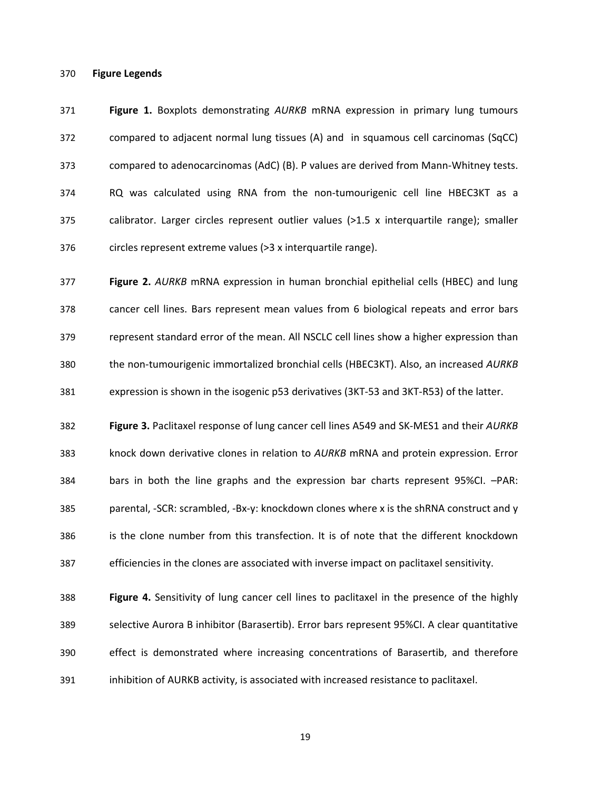### 370 **Figure Legends**

371 **Figure 1.** Boxplots demonstrating *AURKB* mRNA expression in primary lung tumours 372 compared to adjacent normal lung tissues (A) and in squamous cell carcinomas (SqCC) 373 compared to adenocarcinomas (AdC) (B). P values are derived from Mann-Whitney tests. 374 RQ was calculated using RNA from the non-tumourigenic cell line HBEC3KT as a 375 calibrator. Larger circles represent outlier values (>1.5 x interquartile range); smaller 376 circles represent extreme values (>3 x interquartile range).

377 **Figure 2.** *AURKB* mRNA expression in human bronchial epithelial cells (HBEC) and lung 378 cancer cell lines. Bars represent mean values from 6 biological repeats and error bars 379 represent standard error of the mean. All NSCLC cell lines show a higher expression than 380 the non-tumourigenic immortalized bronchial cells (HBEC3KT). Also, an increased *AURKB* 381 expression is shown in the isogenic p53 derivatives (3KT-53 and 3KT-R53) of the latter.

382 **Figure 3.** Paclitaxel response of lung cancer cell lines A549 and SK-MES1 and their *AURKB* 383 knock down derivative clones in relation to *AURKB* mRNA and protein expression. Error 384 bars in both the line graphs and the expression bar charts represent 95%CI. –PAR: 385 parental, -SCR: scrambled, -Bx-y: knockdown clones where x is the shRNA construct and y 386 is the clone number from this transfection. It is of note that the different knockdown 387 efficiencies in the clones are associated with inverse impact on paclitaxel sensitivity.

388 **Figure 4.** Sensitivity of lung cancer cell lines to paclitaxel in the presence of the highly 389 selective Aurora B inhibitor (Barasertib). Error bars represent 95%CI. A clear quantitative 390 effect is demonstrated where increasing concentrations of Barasertib, and therefore 391 inhibition of AURKB activity, is associated with increased resistance to paclitaxel.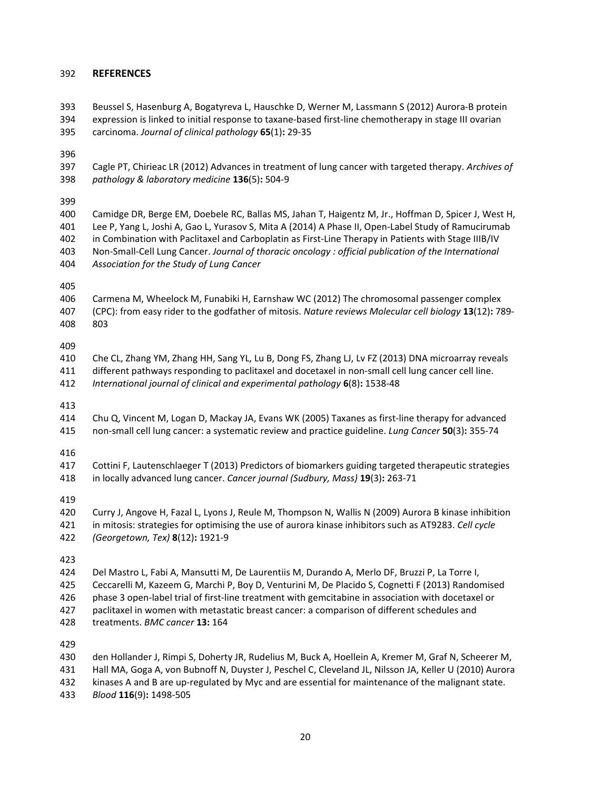# 392 **REFERENCES**

393 Beussel S, Hasenburg A, Bogatyreva L, Hauschke D, Werner M, Lassmann S (2012) Aurora-B protein 394 expression is linked to initial response to taxane-based first-line chemotherapy in stage III ovarian 395 carcinoma. *Journal of clinical pathology* **65**(1)**:** 29-35

396

397 Cagle PT, Chirieac LR (2012) Advances in treatment of lung cancer with targeted therapy. *Archives of*  398 *pathology & laboratory medicine* **136**(5)**:** 504-9

399

400 Camidge DR, Berge EM, Doebele RC, Ballas MS, Jahan T, Haigentz M, Jr., Hoffman D, Spicer J, West H, 401 Lee P, Yang L, Joshi A, Gao L, Yurasov S, Mita A (2014) A Phase II, Open-Label Study of Ramucirumab 402 in Combination with Paclitaxel and Carboplatin as First-Line Therapy in Patients with Stage IIIB/IV 403 Non-Small-Cell Lung Cancer. *Journal of thoracic oncology : official publication of the International*  404 *Association for the Study of Lung Cancer*

405

406 Carmena M, Wheelock M, Funabiki H, Earnshaw WC (2012) The chromosomal passenger complex 407 (CPC): from easy rider to the godfather of mitosis. *Nature reviews Molecular cell biology* **13**(12)**:** 789- 408 803

409

410 Che CL, Zhang YM, Zhang HH, Sang YL, Lu B, Dong FS, Zhang LJ, Lv FZ (2013) DNA microarray reveals 411 different pathways responding to paclitaxel and docetaxel in non-small cell lung cancer cell line. 412 *International journal of clinical and experimental pathology* **6**(8)**:** 1538-48

413

414 Chu Q, Vincent M, Logan D, Mackay JA, Evans WK (2005) Taxanes as first-line therapy for advanced 415 non-small cell lung cancer: a systematic review and practice guideline. *Lung Cancer* **50**(3)**:** 355-74

416

417 Cottini F, Lautenschlaeger T (2013) Predictors of biomarkers guiding targeted therapeutic strategies 418 in locally advanced lung cancer. *Cancer journal (Sudbury, Mass)* **19**(3)**:** 263-71

419

420 Curry J, Angove H, Fazal L, Lyons J, Reule M, Thompson N, Wallis N (2009) Aurora B kinase inhibition 421 in mitosis: strategies for optimising the use of aurora kinase inhibitors such as AT9283. *Cell cycle* 

422 *(Georgetown, Tex)* **8**(12)**:** 1921-9

423

424 Del Mastro L, Fabi A, Mansutti M, De Laurentiis M, Durando A, Merlo DF, Bruzzi P, La Torre I, 425 Ceccarelli M, Kazeem G, Marchi P, Boy D, Venturini M, De Placido S, Cognetti F (2013) Randomised

426 phase 3 open-label trial of first-line treatment with gemcitabine in association with docetaxel or

427 paclitaxel in women with metastatic breast cancer: a comparison of different schedules and

428 treatments. *BMC cancer* **13:** 164

429

430 den Hollander J, Rimpi S, Doherty JR, Rudelius M, Buck A, Hoellein A, Kremer M, Graf N, Scheerer M,

431 Hall MA, Goga A, von Bubnoff N, Duyster J, Peschel C, Cleveland JL, Nilsson JA, Keller U (2010) Aurora

432 kinases A and B are up-regulated by Myc and are essential for maintenance of the malignant state.

433 *Blood* **116**(9)**:** 1498-505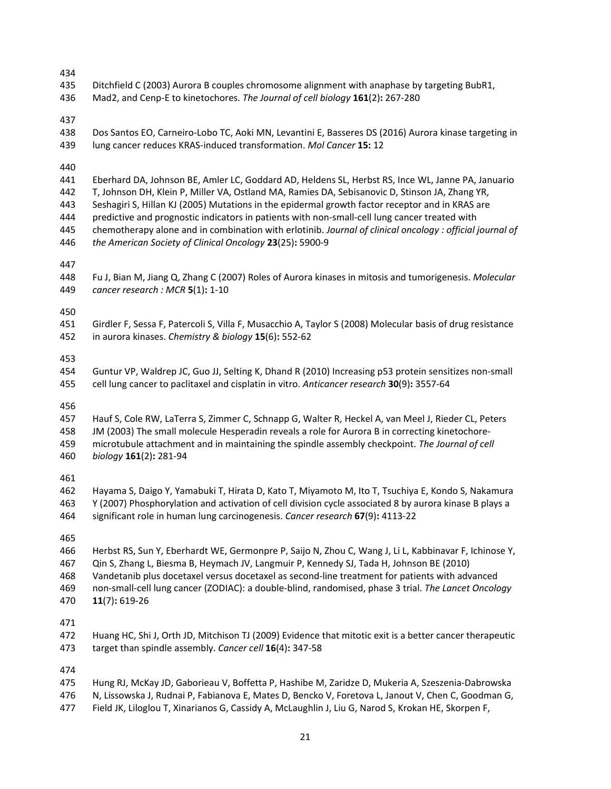| 434<br>435<br>436                             | Ditchfield C (2003) Aurora B couples chromosome alignment with anaphase by targeting BubR1,<br>Mad2, and Cenp-E to kinetochores. The Journal of cell biology 161(2): 267-280                                                                                                                                                                                                                                                                                                                                                                                                    |
|-----------------------------------------------|---------------------------------------------------------------------------------------------------------------------------------------------------------------------------------------------------------------------------------------------------------------------------------------------------------------------------------------------------------------------------------------------------------------------------------------------------------------------------------------------------------------------------------------------------------------------------------|
| 437<br>438<br>439                             | Dos Santos EO, Carneiro-Lobo TC, Aoki MN, Levantini E, Basseres DS (2016) Aurora kinase targeting in<br>lung cancer reduces KRAS-induced transformation. Mol Cancer 15: 12                                                                                                                                                                                                                                                                                                                                                                                                      |
| 440<br>441<br>442<br>443<br>444<br>445<br>446 | Eberhard DA, Johnson BE, Amler LC, Goddard AD, Heldens SL, Herbst RS, Ince WL, Janne PA, Januario<br>T, Johnson DH, Klein P, Miller VA, Ostland MA, Ramies DA, Sebisanovic D, Stinson JA, Zhang YR,<br>Seshagiri S, Hillan KJ (2005) Mutations in the epidermal growth factor receptor and in KRAS are<br>predictive and prognostic indicators in patients with non-small-cell lung cancer treated with<br>chemotherapy alone and in combination with erlotinib. Journal of clinical oncology : official journal of<br>the American Society of Clinical Oncology 23(25): 5900-9 |
| 447<br>448<br>449                             | Fu J, Bian M, Jiang Q, Zhang C (2007) Roles of Aurora kinases in mitosis and tumorigenesis. Molecular<br>cancer research : MCR 5(1): 1-10                                                                                                                                                                                                                                                                                                                                                                                                                                       |
| 450<br>451<br>452                             | Girdler F, Sessa F, Patercoli S, Villa F, Musacchio A, Taylor S (2008) Molecular basis of drug resistance<br>in aurora kinases. Chemistry & biology 15(6): 552-62                                                                                                                                                                                                                                                                                                                                                                                                               |
| 453<br>454<br>455                             | Guntur VP, Waldrep JC, Guo JJ, Selting K, Dhand R (2010) Increasing p53 protein sensitizes non-small<br>cell lung cancer to paclitaxel and cisplatin in vitro. Anticancer research 30(9): 3557-64                                                                                                                                                                                                                                                                                                                                                                               |
| 456<br>457<br>458<br>459<br>460               | Hauf S, Cole RW, LaTerra S, Zimmer C, Schnapp G, Walter R, Heckel A, van Meel J, Rieder CL, Peters<br>JM (2003) The small molecule Hesperadin reveals a role for Aurora B in correcting kinetochore-<br>microtubule attachment and in maintaining the spindle assembly checkpoint. The Journal of cell<br>biology 161(2): 281-94                                                                                                                                                                                                                                                |
| 461<br>462<br>463<br>464                      | Hayama S, Daigo Y, Yamabuki T, Hirata D, Kato T, Miyamoto M, Ito T, Tsuchiya E, Kondo S, Nakamura<br>Y (2007) Phosphorylation and activation of cell division cycle associated 8 by aurora kinase B plays a<br>significant role in human lung carcinogenesis. Cancer research 67(9): 4113-22                                                                                                                                                                                                                                                                                    |
| 465<br>466<br>467<br>468<br>469<br>470        | Herbst RS, Sun Y, Eberhardt WE, Germonpre P, Saijo N, Zhou C, Wang J, Li L, Kabbinavar F, Ichinose Y,<br>Qin S, Zhang L, Biesma B, Heymach JV, Langmuir P, Kennedy SJ, Tada H, Johnson BE (2010)<br>Vandetanib plus docetaxel versus docetaxel as second-line treatment for patients with advanced<br>non-small-cell lung cancer (ZODIAC): a double-blind, randomised, phase 3 trial. The Lancet Oncology<br>$11(7): 619-26$                                                                                                                                                    |
| 471<br>472<br>473                             | Huang HC, Shi J, Orth JD, Mitchison TJ (2009) Evidence that mitotic exit is a better cancer therapeutic<br>target than spindle assembly. Cancer cell 16(4): 347-58                                                                                                                                                                                                                                                                                                                                                                                                              |
| 474<br>475<br>476                             | Hung RJ, McKay JD, Gaborieau V, Boffetta P, Hashibe M, Zaridze D, Mukeria A, Szeszenia-Dabrowska<br>N, Lissowska J, Rudnai P, Fabianova E, Mates D, Bencko V, Foretova L, Janout V, Chen C, Goodman G,                                                                                                                                                                                                                                                                                                                                                                          |

477 Field JK, Liloglou T, Xinarianos G, Cassidy A, McLaughlin J, Liu G, Narod S, Krokan HE, Skorpen F,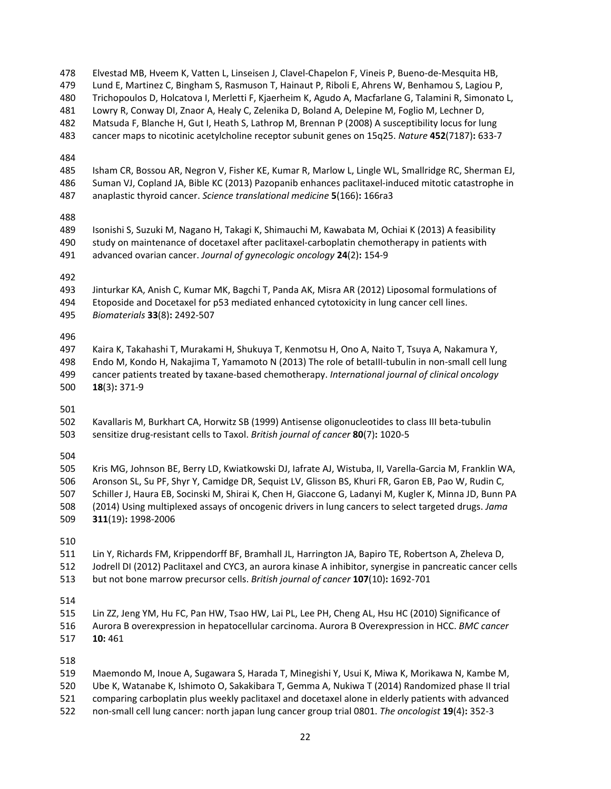478 Elvestad MB, Hveem K, Vatten L, Linseisen J, Clavel-Chapelon F, Vineis P, Bueno-de-Mesquita HB, 479 Lund E, Martinez C, Bingham S, Rasmuson T, Hainaut P, Riboli E, Ahrens W, Benhamou S, Lagiou P, 480 Trichopoulos D, Holcatova I, Merletti F, Kjaerheim K, Agudo A, Macfarlane G, Talamini R, Simonato L, 481 Lowry R, Conway DI, Znaor A, Healy C, Zelenika D, Boland A, Delepine M, Foglio M, Lechner D, 482 Matsuda F, Blanche H, Gut I, Heath S, Lathrop M, Brennan P (2008) A susceptibility locus for lung 483 cancer maps to nicotinic acetylcholine receptor subunit genes on 15q25. *Nature* **452**(7187)**:** 633-7 484 485 Isham CR, Bossou AR, Negron V, Fisher KE, Kumar R, Marlow L, Lingle WL, Smallridge RC, Sherman EJ, 486 Suman VJ, Copland JA, Bible KC (2013) Pazopanib enhances paclitaxel-induced mitotic catastrophe in 487 anaplastic thyroid cancer. *Science translational medicine* **5**(166)**:** 166ra3 488 489 Isonishi S, Suzuki M, Nagano H, Takagi K, Shimauchi M, Kawabata M, Ochiai K (2013) A feasibility 490 study on maintenance of docetaxel after paclitaxel-carboplatin chemotherapy in patients with 491 advanced ovarian cancer. *Journal of gynecologic oncology* **24**(2)**:** 154-9 492 493 Jinturkar KA, Anish C, Kumar MK, Bagchi T, Panda AK, Misra AR (2012) Liposomal formulations of 494 Etoposide and Docetaxel for p53 mediated enhanced cytotoxicity in lung cancer cell lines. 495 *Biomaterials* **33**(8)**:** 2492-507 496 497 Kaira K, Takahashi T, Murakami H, Shukuya T, Kenmotsu H, Ono A, Naito T, Tsuya A, Nakamura Y, 498 Endo M, Kondo H, Nakajima T, Yamamoto N (2013) The role of betaIII-tubulin in non-small cell lung 499 cancer patients treated by taxane-based chemotherapy. *International journal of clinical oncology* 500 **18**(3)**:** 371-9 501 502 Kavallaris M, Burkhart CA, Horwitz SB (1999) Antisense oligonucleotides to class III beta-tubulin 503 sensitize drug-resistant cells to Taxol. *British journal of cancer* **80**(7)**:** 1020-5 504 505 Kris MG, Johnson BE, Berry LD, Kwiatkowski DJ, Iafrate AJ, Wistuba, II, Varella-Garcia M, Franklin WA, 506 Aronson SL, Su PF, Shyr Y, Camidge DR, Sequist LV, Glisson BS, Khuri FR, Garon EB, Pao W, Rudin C, 507 Schiller J, Haura EB, Socinski M, Shirai K, Chen H, Giaccone G, Ladanyi M, Kugler K, Minna JD, Bunn PA 508 (2014) Using multiplexed assays of oncogenic drivers in lung cancers to select targeted drugs. *Jama* 509 **311**(19)**:** 1998-2006 510 511 Lin Y, Richards FM, Krippendorff BF, Bramhall JL, Harrington JA, Bapiro TE, Robertson A, Zheleva D, 512 Jodrell DI (2012) Paclitaxel and CYC3, an aurora kinase A inhibitor, synergise in pancreatic cancer cells 513 but not bone marrow precursor cells. *British journal of cancer* **107**(10)**:** 1692-701 514 515 Lin ZZ, Jeng YM, Hu FC, Pan HW, Tsao HW, Lai PL, Lee PH, Cheng AL, Hsu HC (2010) Significance of 516 Aurora B overexpression in hepatocellular carcinoma. Aurora B Overexpression in HCC. *BMC cancer* 517 **10:** 461 518 519 Maemondo M, Inoue A, Sugawara S, Harada T, Minegishi Y, Usui K, Miwa K, Morikawa N, Kambe M, 520 Ube K, Watanabe K, Ishimoto O, Sakakibara T, Gemma A, Nukiwa T (2014) Randomized phase II trial 521 comparing carboplatin plus weekly paclitaxel and docetaxel alone in elderly patients with advanced

522 non-small cell lung cancer: north japan lung cancer group trial 0801. *The oncologist* **19**(4)**:** 352-3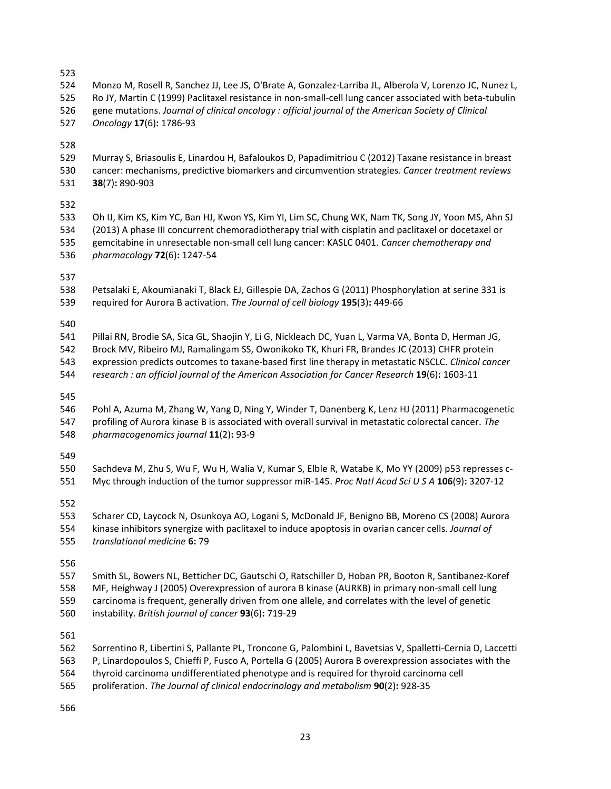523

524 Monzo M, Rosell R, Sanchez JJ, Lee JS, O'Brate A, Gonzalez-Larriba JL, Alberola V, Lorenzo JC, Nunez L, 525 Ro JY, Martin C (1999) Paclitaxel resistance in non-small-cell lung cancer associated with beta-tubulin 526 gene mutations. *Journal of clinical oncology : official journal of the American Society of Clinical* 

527 *Oncology* **17**(6)**:** 1786-93

528

529 Murray S, Briasoulis E, Linardou H, Bafaloukos D, Papadimitriou C (2012) Taxane resistance in breast 530 cancer: mechanisms, predictive biomarkers and circumvention strategies. *Cancer treatment reviews* 531 **38**(7)**:** 890-903

532

533 Oh IJ, Kim KS, Kim YC, Ban HJ, Kwon YS, Kim YI, Lim SC, Chung WK, Nam TK, Song JY, Yoon MS, Ahn SJ 534 (2013) A phase III concurrent chemoradiotherapy trial with cisplatin and paclitaxel or docetaxel or 535 gemcitabine in unresectable non-small cell lung cancer: KASLC 0401. *Cancer chemotherapy and*  536 *pharmacology* **72**(6)**:** 1247-54

537

538 Petsalaki E, Akoumianaki T, Black EJ, Gillespie DA, Zachos G (2011) Phosphorylation at serine 331 is 539 required for Aurora B activation. *The Journal of cell biology* **195**(3)**:** 449-66

540

541 Pillai RN, Brodie SA, Sica GL, Shaojin Y, Li G, Nickleach DC, Yuan L, Varma VA, Bonta D, Herman JG, 542 Brock MV, Ribeiro MJ, Ramalingam SS, Owonikoko TK, Khuri FR, Brandes JC (2013) CHFR protein

543 expression predicts outcomes to taxane-based first line therapy in metastatic NSCLC. *Clinical cancer*  544 *research : an official journal of the American Association for Cancer Research* **19**(6)**:** 1603-11

545

546 Pohl A, Azuma M, Zhang W, Yang D, Ning Y, Winder T, Danenberg K, Lenz HJ (2011) Pharmacogenetic 547 profiling of Aurora kinase B is associated with overall survival in metastatic colorectal cancer. *The*  548 *pharmacogenomics journal* **11**(2)**:** 93-9

549

550 Sachdeva M, Zhu S, Wu F, Wu H, Walia V, Kumar S, Elble R, Watabe K, Mo YY (2009) p53 represses c-551 Myc through induction of the tumor suppressor miR-145. *Proc Natl Acad Sci U S A* **106**(9)**:** 3207-12

552

553 Scharer CD, Laycock N, Osunkoya AO, Logani S, McDonald JF, Benigno BB, Moreno CS (2008) Aurora 554 kinase inhibitors synergize with paclitaxel to induce apoptosis in ovarian cancer cells. *Journal of*  555 *translational medicine* **6:** 79

556

557 Smith SL, Bowers NL, Betticher DC, Gautschi O, Ratschiller D, Hoban PR, Booton R, Santibanez-Koref 558 MF, Heighway J (2005) Overexpression of aurora B kinase (AURKB) in primary non-small cell lung

- 559 carcinoma is frequent, generally driven from one allele, and correlates with the level of genetic
- 560 instability. *British journal of cancer* **93**(6)**:** 719-29

561

- 562 Sorrentino R, Libertini S, Pallante PL, Troncone G, Palombini L, Bavetsias V, Spalletti-Cernia D, Laccetti 563 P, Linardopoulos S, Chieffi P, Fusco A, Portella G (2005) Aurora B overexpression associates with the 564 thyroid carcinoma undifferentiated phenotype and is required for thyroid carcinoma cell
- 565 proliferation. *The Journal of clinical endocrinology and metabolism* **90**(2)**:** 928-35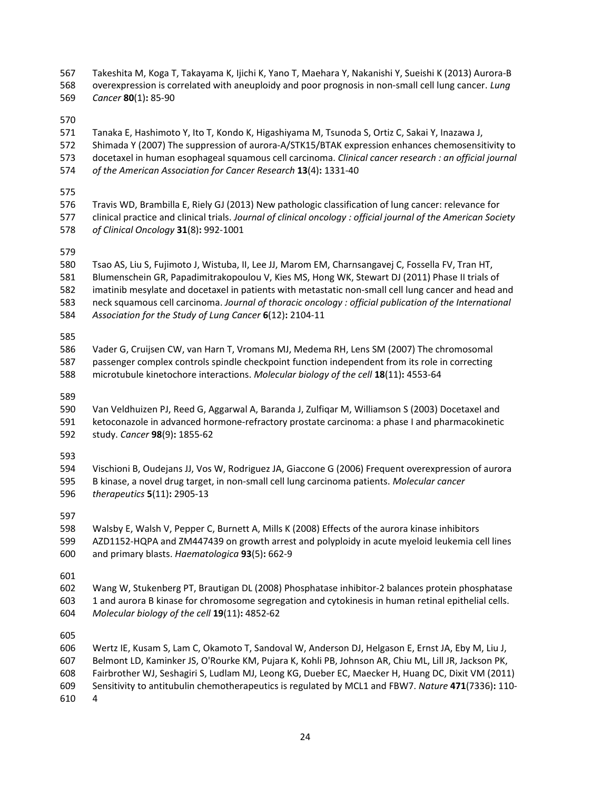567 Takeshita M, Koga T, Takayama K, Ijichi K, Yano T, Maehara Y, Nakanishi Y, Sueishi K (2013) Aurora-B 568 overexpression is correlated with aneuploidy and poor prognosis in non-small cell lung cancer. *Lung* 

569 *Cancer* **80**(1)**:** 85-90

570

571 Tanaka E, Hashimoto Y, Ito T, Kondo K, Higashiyama M, Tsunoda S, Ortiz C, Sakai Y, Inazawa J,

- 572 Shimada Y (2007) The suppression of aurora-A/STK15/BTAK expression enhances chemosensitivity to
- 573 docetaxel in human esophageal squamous cell carcinoma. *Clinical cancer research : an official journal*
- 574 *of the American Association for Cancer Research* **13**(4)**:** 1331-40
- 575

576 Travis WD, Brambilla E, Riely GJ (2013) New pathologic classification of lung cancer: relevance for 577 clinical practice and clinical trials. *Journal of clinical oncology : official journal of the American Society*  578 *of Clinical Oncology* **31**(8)**:** 992-1001

579

- 580 Tsao AS, Liu S, Fujimoto J, Wistuba, II, Lee JJ, Marom EM, Charnsangavej C, Fossella FV, Tran HT, 581 Blumenschein GR, Papadimitrakopoulou V, Kies MS, Hong WK, Stewart DJ (2011) Phase II trials of
- 582 imatinib mesylate and docetaxel in patients with metastatic non-small cell lung cancer and head and
- 583 neck squamous cell carcinoma. *Journal of thoracic oncology : official publication of the International*
- 584 *Association for the Study of Lung Cancer* **6**(12)**:** 2104-11

585

- 586 Vader G, Cruijsen CW, van Harn T, Vromans MJ, Medema RH, Lens SM (2007) The chromosomal 587 passenger complex controls spindle checkpoint function independent from its role in correcting
- 588 microtubule kinetochore interactions. *Molecular biology of the cell* **18**(11)**:** 4553-64

589

590 Van Veldhuizen PJ, Reed G, Aggarwal A, Baranda J, Zulfiqar M, Williamson S (2003) Docetaxel and 591 ketoconazole in advanced hormone-refractory prostate carcinoma: a phase I and pharmacokinetic 592 study. *Cancer* **98**(9)**:** 1855-62

593

594 Vischioni B, Oudejans JJ, Vos W, Rodriguez JA, Giaccone G (2006) Frequent overexpression of aurora 595 B kinase, a novel drug target, in non-small cell lung carcinoma patients. *Molecular cancer*  596 *therapeutics* **5**(11)**:** 2905-13

597

598 Walsby E, Walsh V, Pepper C, Burnett A, Mills K (2008) Effects of the aurora kinase inhibitors 599 AZD1152-HQPA and ZM447439 on growth arrest and polyploidy in acute myeloid leukemia cell lines 600 and primary blasts. *Haematologica* **93**(5)**:** 662-9

601

602 Wang W, Stukenberg PT, Brautigan DL (2008) Phosphatase inhibitor-2 balances protein phosphatase 603 1 and aurora B kinase for chromosome segregation and cytokinesis in human retinal epithelial cells. 604 *Molecular biology of the cell* **19**(11)**:** 4852-62

605

606 Wertz IE, Kusam S, Lam C, Okamoto T, Sandoval W, Anderson DJ, Helgason E, Ernst JA, Eby M, Liu J, 607 Belmont LD, Kaminker JS, O'Rourke KM, Pujara K, Kohli PB, Johnson AR, Chiu ML, Lill JR, Jackson PK, 608 Fairbrother WJ, Seshagiri S, Ludlam MJ, Leong KG, Dueber EC, Maecker H, Huang DC, Dixit VM (2011) 609 Sensitivity to antitubulin chemotherapeutics is regulated by MCL1 and FBW7. *Nature* **471**(7336)**:** 110- 610 4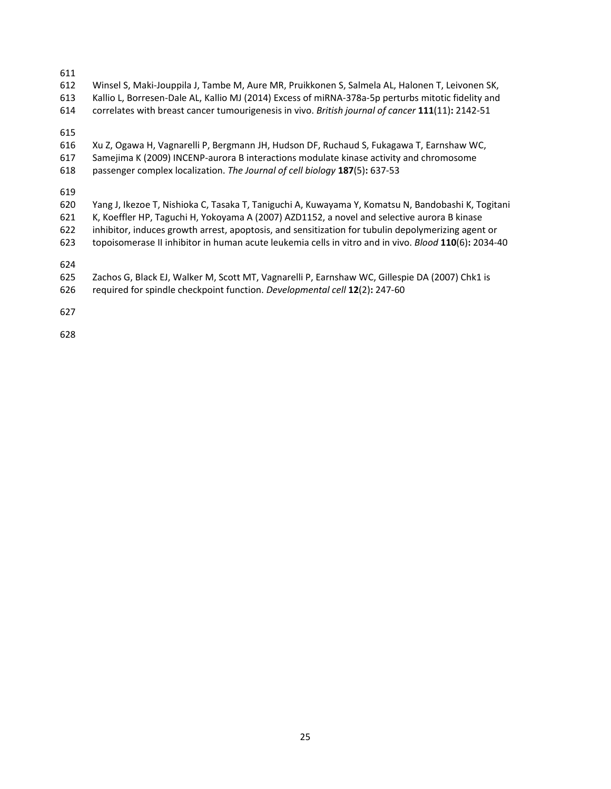611

- 612 Winsel S, Maki-Jouppila J, Tambe M, Aure MR, Pruikkonen S, Salmela AL, Halonen T, Leivonen SK,
- 613 Kallio L, Borresen-Dale AL, Kallio MJ (2014) Excess of miRNA-378a-5p perturbs mitotic fidelity and
- 614 correlates with breast cancer tumourigenesis in vivo. *British journal of cancer* **111**(11)**:** 2142-51

615

- 616 Xu Z, Ogawa H, Vagnarelli P, Bergmann JH, Hudson DF, Ruchaud S, Fukagawa T, Earnshaw WC,
- 617 Samejima K (2009) INCENP-aurora B interactions modulate kinase activity and chromosome
- 618 passenger complex localization. *The Journal of cell biology* **187**(5)**:** 637-53

619

- 620 Yang J, Ikezoe T, Nishioka C, Tasaka T, Taniguchi A, Kuwayama Y, Komatsu N, Bandobashi K, Togitani
- 621 K, Koeffler HP, Taguchi H, Yokoyama A (2007) AZD1152, a novel and selective aurora B kinase
- 622 inhibitor, induces growth arrest, apoptosis, and sensitization for tubulin depolymerizing agent or
- 623 topoisomerase II inhibitor in human acute leukemia cells in vitro and in vivo. *Blood* **110**(6)**:** 2034-40

624

- 625 Zachos G, Black EJ, Walker M, Scott MT, Vagnarelli P, Earnshaw WC, Gillespie DA (2007) Chk1 is
- 626 required for spindle checkpoint function. *Developmental cell* **12**(2)**:** 247-60

627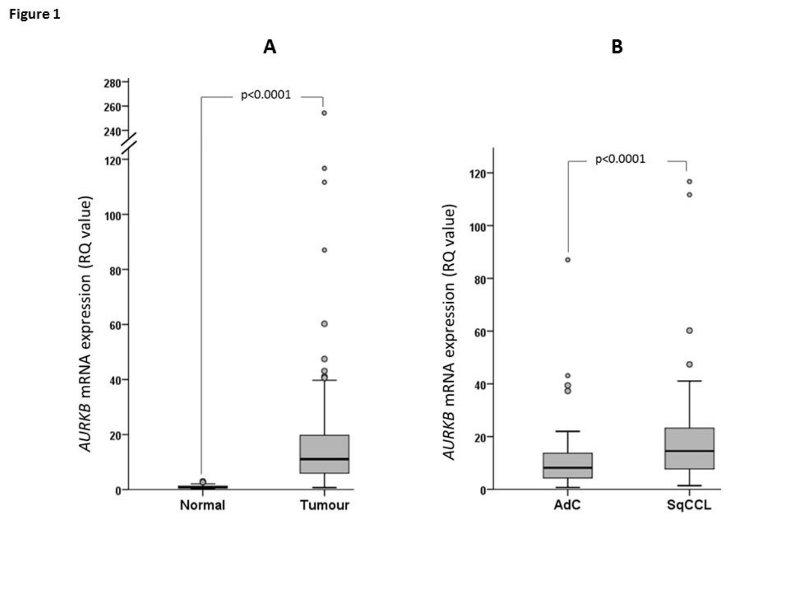Figure 1

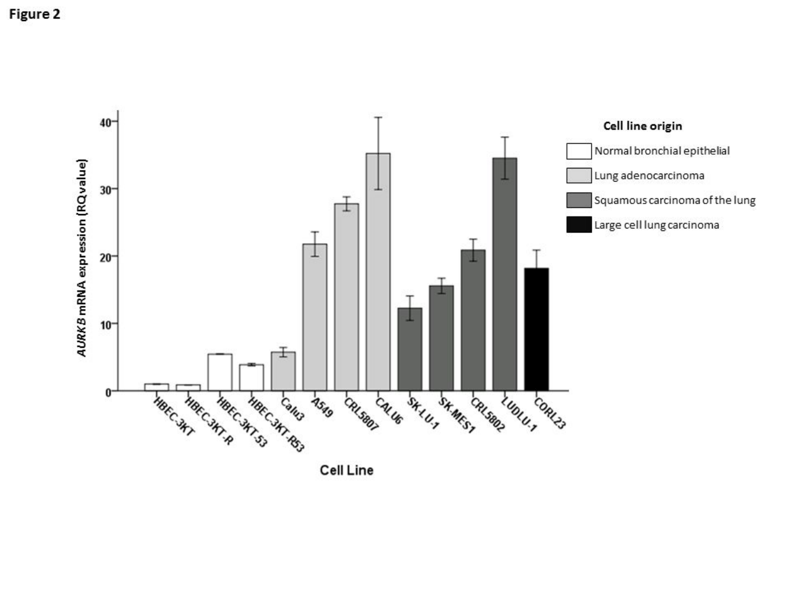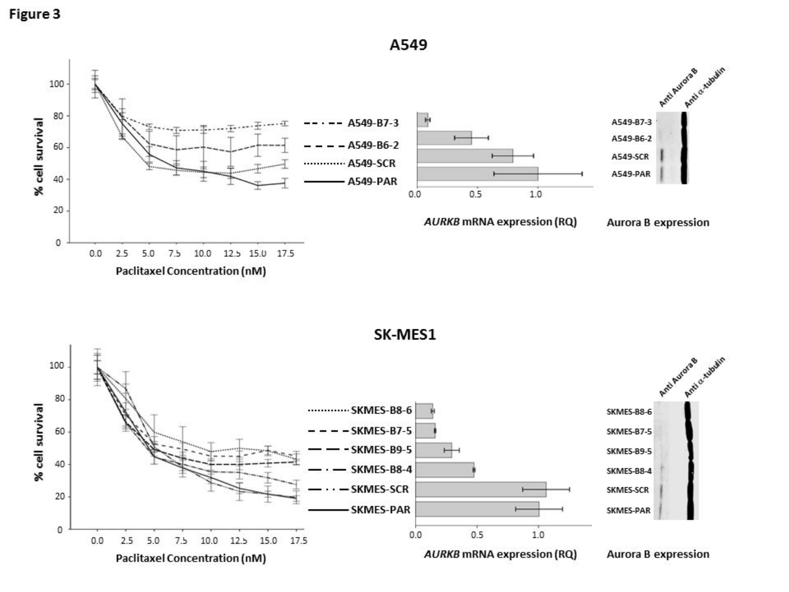

A549

Paclitaxel Concentration (nM)

SK-MES1